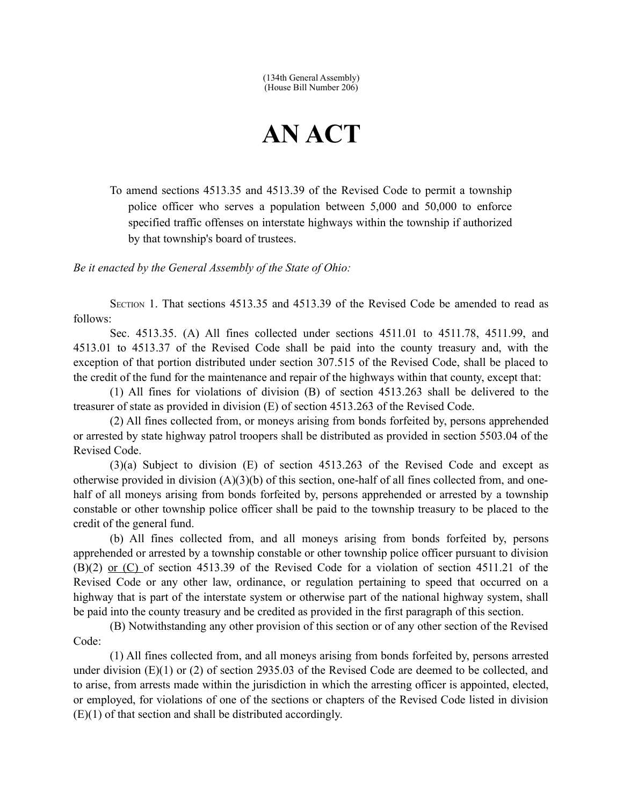(134th General Assembly) (House Bill Number 206)

## **AN ACT**

To amend sections 4513.35 and 4513.39 of the Revised Code to permit a township police officer who serves a population between 5,000 and 50,000 to enforce specified traffic offenses on interstate highways within the township if authorized by that township's board of trustees.

*Be it enacted by the General Assembly of the State of Ohio:*

SECTION 1. That sections 4513.35 and 4513.39 of the Revised Code be amended to read as follows:

Sec. 4513.35. (A) All fines collected under sections 4511.01 to 4511.78, 4511.99, and 4513.01 to 4513.37 of the Revised Code shall be paid into the county treasury and, with the exception of that portion distributed under section 307.515 of the Revised Code, shall be placed to the credit of the fund for the maintenance and repair of the highways within that county, except that:

(1) All fines for violations of division (B) of section 4513.263 shall be delivered to the treasurer of state as provided in division (E) of section 4513.263 of the Revised Code.

(2) All fines collected from, or moneys arising from bonds forfeited by, persons apprehended or arrested by state highway patrol troopers shall be distributed as provided in section 5503.04 of the Revised Code.

(3)(a) Subject to division (E) of section 4513.263 of the Revised Code and except as otherwise provided in division  $(A)(3)(b)$  of this section, one-half of all fines collected from, and onehalf of all moneys arising from bonds forfeited by, persons apprehended or arrested by a township constable or other township police officer shall be paid to the township treasury to be placed to the credit of the general fund.

(b) All fines collected from, and all moneys arising from bonds forfeited by, persons apprehended or arrested by a township constable or other township police officer pursuant to division (B)(2) or (C) of section 4513.39 of the Revised Code for a violation of section 4511.21 of the Revised Code or any other law, ordinance, or regulation pertaining to speed that occurred on a highway that is part of the interstate system or otherwise part of the national highway system, shall be paid into the county treasury and be credited as provided in the first paragraph of this section.

(B) Notwithstanding any other provision of this section or of any other section of the Revised Code:

(1) All fines collected from, and all moneys arising from bonds forfeited by, persons arrested under division (E)(1) or (2) of section 2935.03 of the Revised Code are deemed to be collected, and to arise, from arrests made within the jurisdiction in which the arresting officer is appointed, elected, or employed, for violations of one of the sections or chapters of the Revised Code listed in division (E)(1) of that section and shall be distributed accordingly.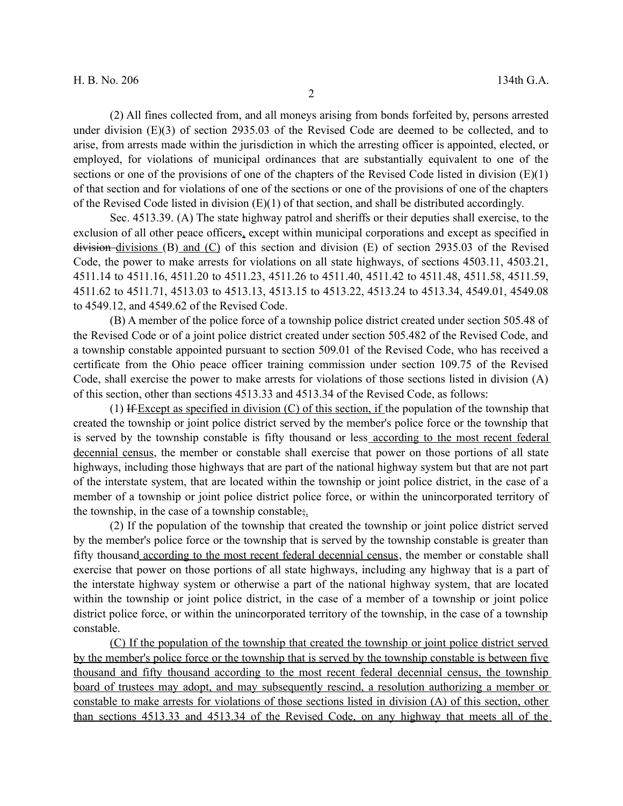(2) All fines collected from, and all moneys arising from bonds forfeited by, persons arrested under division (E)(3) of section 2935.03 of the Revised Code are deemed to be collected, and to arise, from arrests made within the jurisdiction in which the arresting officer is appointed, elected, or employed, for violations of municipal ordinances that are substantially equivalent to one of the sections or one of the provisions of one of the chapters of the Revised Code listed in division  $(E)(1)$ of that section and for violations of one of the sections or one of the provisions of one of the chapters of the Revised Code listed in division  $(E)(1)$  of that section, and shall be distributed accordingly.

Sec. 4513.39. (A) The state highway patrol and sheriffs or their deputies shall exercise, to the exclusion of all other peace officers, except within municipal corporations and except as specified in division divisions (B) and (C) of this section and division (E) of section 2935.03 of the Revised Code, the power to make arrests for violations on all state highways, of sections 4503.11, 4503.21, 4511.14 to 4511.16, 4511.20 to 4511.23, 4511.26 to 4511.40, 4511.42 to 4511.48, 4511.58, 4511.59, 4511.62 to 4511.71, 4513.03 to 4513.13, 4513.15 to 4513.22, 4513.24 to 4513.34, 4549.01, 4549.08 to 4549.12, and 4549.62 of the Revised Code.

(B) A member of the police force of a township police district created under section 505.48 of the Revised Code or of a joint police district created under section 505.482 of the Revised Code, and a township constable appointed pursuant to section 509.01 of the Revised Code, who has received a certificate from the Ohio peace officer training commission under section 109.75 of the Revised Code, shall exercise the power to make arrests for violations of those sections listed in division (A) of this section, other than sections 4513.33 and 4513.34 of the Revised Code, as follows:

(1) If Except as specified in division  $(C)$  of this section, if the population of the township that created the township or joint police district served by the member's police force or the township that is served by the township constable is fifty thousand or less according to the most recent federal decennial census, the member or constable shall exercise that power on those portions of all state highways, including those highways that are part of the national highway system but that are not part of the interstate system, that are located within the township or joint police district, in the case of a member of a township or joint police district police force, or within the unincorporated territory of the township, in the case of a township constable;

(2) If the population of the township that created the township or joint police district served by the member's police force or the township that is served by the township constable is greater than fifty thousand according to the most recent federal decennial census, the member or constable shall exercise that power on those portions of all state highways, including any highway that is a part of the interstate highway system or otherwise a part of the national highway system, that are located within the township or joint police district, in the case of a member of a township or joint police district police force, or within the unincorporated territory of the township, in the case of a township constable.

(C) If the population of the township that created the township or joint police district served by the member's police force or the township that is served by the township constable is between five thousand and fifty thousand according to the most recent federal decennial census, the township board of trustees may adopt, and may subsequently rescind, a resolution authorizing a member or constable to make arrests for violations of those sections listed in division (A) of this section, other than sections 4513.33 and 4513.34 of the Revised Code, on any highway that meets all of the

2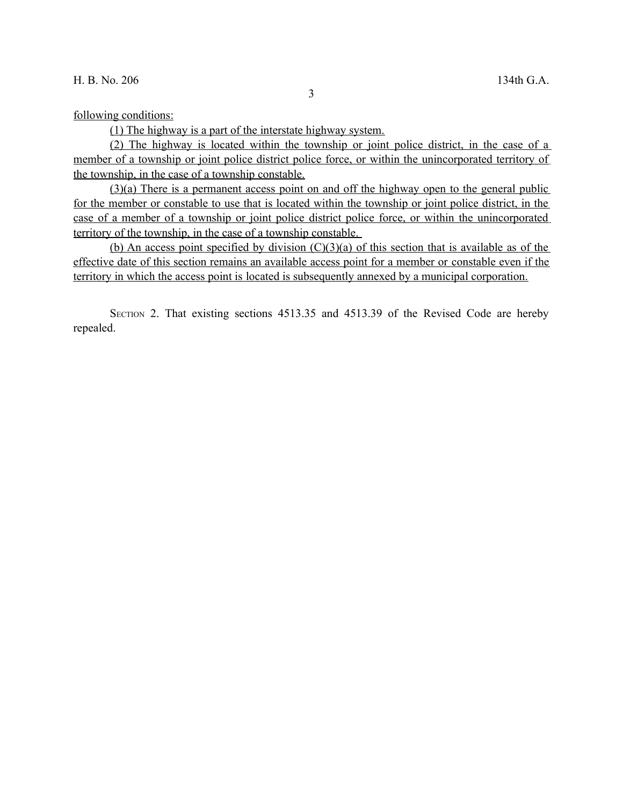following conditions:

(1) The highway is a part of the interstate highway system.

(2) The highway is located within the township or joint police district, in the case of a member of a township or joint police district police force, or within the unincorporated territory of the township, in the case of a township constable.

(3)(a) There is a permanent access point on and off the highway open to the general public for the member or constable to use that is located within the township or joint police district, in the case of a member of a township or joint police district police force, or within the unincorporated territory of the township, in the case of a township constable.

(b) An access point specified by division  $(C)(3)(a)$  of this section that is available as of the effective date of this section remains an available access point for a member or constable even if the territory in which the access point is located is subsequently annexed by a municipal corporation.

SECTION 2. That existing sections 4513.35 and 4513.39 of the Revised Code are hereby repealed.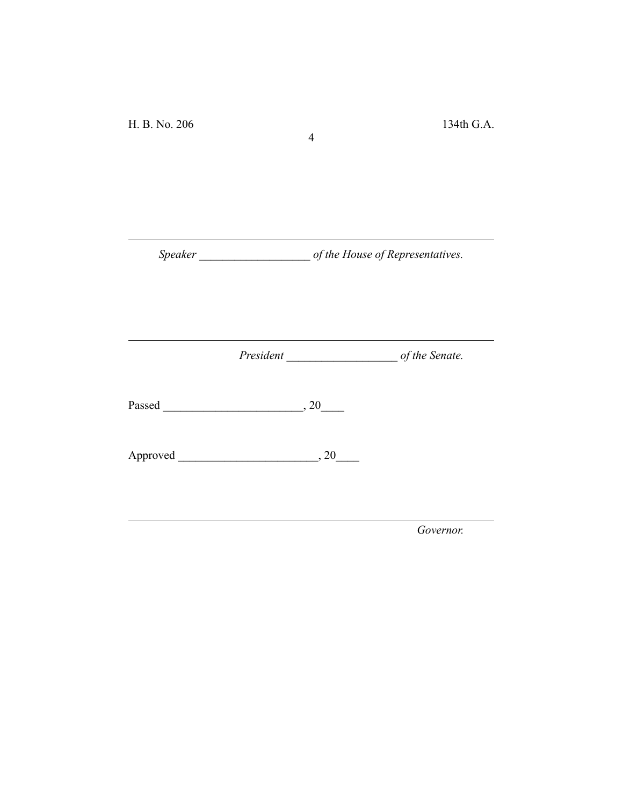*Speaker \_\_\_\_\_\_\_\_\_\_\_\_\_\_\_\_\_\_\_ of the House of Representatives.*

4

*President \_\_\_\_\_\_\_\_\_\_\_\_\_\_\_\_\_\_\_ of the Senate.*

Passed \_\_\_\_\_\_\_\_\_\_\_\_\_\_\_\_\_\_\_\_\_\_\_\_, 20\_\_\_\_

Approved \_\_\_\_\_\_\_\_\_\_\_\_\_\_\_\_\_\_\_\_\_\_\_\_, 20\_\_\_\_

*Governor.*